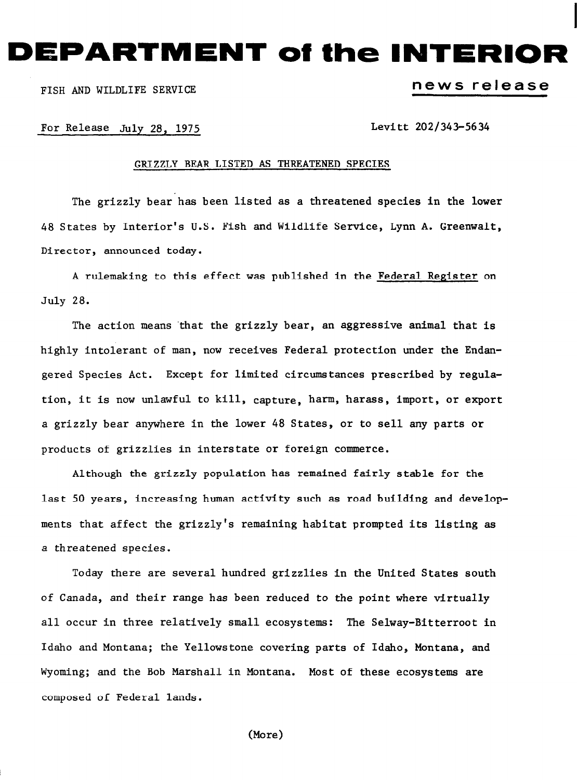EPARTMENT of the INTERIOR

## FISH AND WILDLIFE SERVICE **news release**

For Release July 28, 1975 Levitt 202/343-5634

## GRIZZLY BEAR LISTED AS THREATENED SPECIES

The grizzly bear has been listed as a threatened species in the lower 48 States by Interior's U.S. Fish and Wildlife Service, Lynn A. Greenwalt, Director, announced today.

A rulemaking to this effect was published in the Federal Register on July 28.

The action means that the grizzly bear, an aggressive animal that is highly intolerant of man, now receives Federal protection under the Endangered Species Act. Except for limited circumstances prescribed by regulation, it is now unlawful to kill, capture, harm, harass, import, or export a grizzly bear anywhere in the lower 48 States, or to sell any parts or products of grizzlies in interstate or foreign commerce.

Although the grizzly population has remained fairly stable for the last 50 years, increasing human activity such as road building and developments that affect the grizzly's remaining habitat prompted its listing as a threatened species.

Today there are several hundred grizzlies in the United States south of Canada, and their range has been reduced to the point where virtually all occur in three relatively small ecosystems: The Selway-Bitterroot in Idaho and Montana; the Yellowstone covering parts of Idaho, Montana, and Wyoming; and the Bob Marshall in Montana. Most of these ecosystems are composed of Federal lands.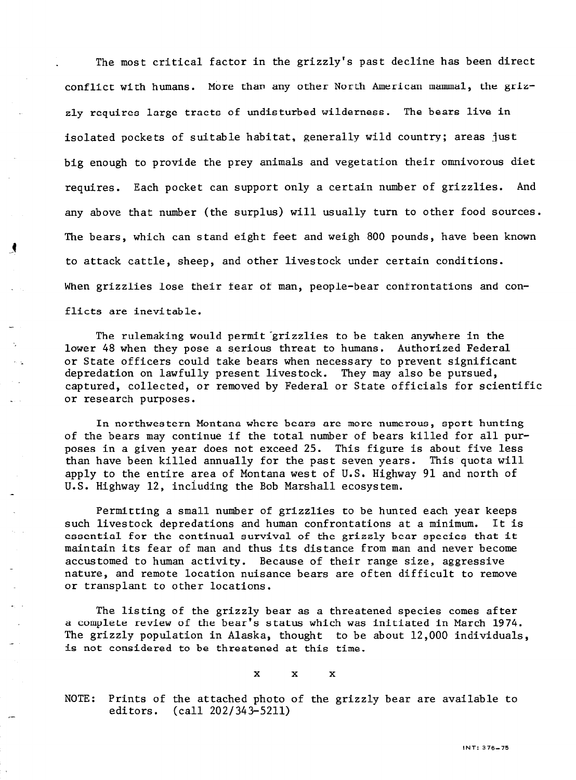The most critical factor in the grizzly's past decline has been direct conflict with humans. More than any other North American mammal, the grizzly requires large tracts of undisturbed wilderness. The bears live in isolated pockets of suitable habitat, generally wild country; areas just big enough to provide the prey animals and vegetation their omnivorous diet requires. Each pocket can support only a certain number of grizzlies. And any above that number (the surplus) will usually turn to other food sources. The bears, which can stand eight feet and weigh 800 pounds, have been known to attack cattle, sheep, and other livestock under certain conditions. When grizzlies lose their fear of man, people-bear confrontations and conflicts are inevitable.

 $\mathbf{A}$ 

The rulemaking would permit grizzlies to be taken anywhere in the lower 48 when they pose a serious threat to humans. Authorized Federal or State officers could take bears when necessary to prevent significant depredation on lawfully present livestock. They may also be pursued, captured, collected, or removed by Federal or State officials for scientific or research purposes.

In northwestern Montana where bears are more numerous, sport hunting of the bears may continue if the total number of bears killed for all purposes in a given year does not exceed 25. This figure is about five less than have been killed annually for the past seven years. This quota will apply to the entire area of Montana west of U.S. Highway 91 and north of U.S. Highway 12, inciuding the Bob Marshall ecosystem.

Permitting a small number of grizzlies to be hunted each year keeps such livestock depredations and human confrontations at a minimum. It is essential for the continual survival of the grizzly bear species that it maintain its fear of man and thus its distance from man and never become accustomed to human activity. Because of their range size, aggressive nature, and remote location nuisance bears are often difficult to remove or transplant to other locations.

The listing of the grizzly bear as a threatened species comes after a complete review of the bear's status which was initiated in March 1974. The grizzly population in Alaska, thought to be about 12,000 individuals, is not considered to be threatened at this time.

X X X

NOTE: Prints of the attached photo of the grizzly bear are available to editors. (call 202/343-5211)